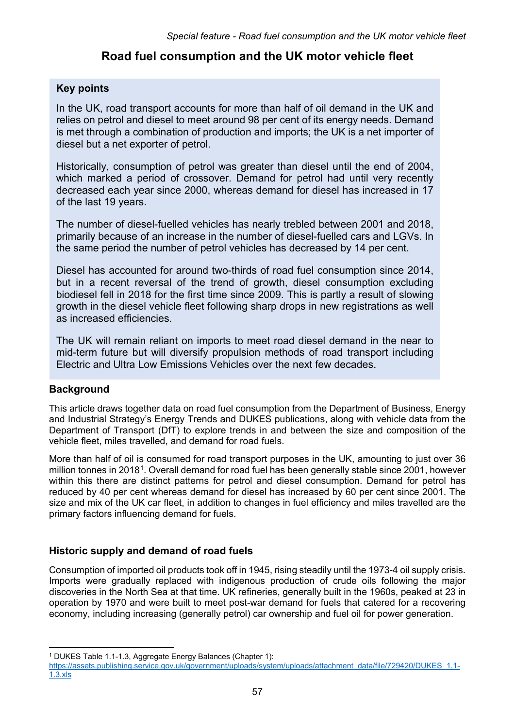# **Road fuel consumption and the UK motor vehicle fleet**

# **Key points**

In the UK, road transport accounts for more than half of oil demand in the UK and relies on petrol and diesel to meet around 98 per cent of its energy needs. Demand is met through a combination of production and imports; the UK is a net importer of diesel but a net exporter of petrol.

Historically, consumption of petrol was greater than diesel until the end of 2004, which marked a period of crossover. Demand for petrol had until very recently decreased each year since 2000, whereas demand for diesel has increased in 17 of the last 19 years.

The number of diesel-fuelled vehicles has nearly trebled between 2001 and 2018, primarily because of an increase in the number of diesel-fuelled cars and LGVs. In the same period the number of petrol vehicles has decreased by 14 per cent.

Diesel has accounted for around two-thirds of road fuel consumption since 2014, but in a recent reversal of the trend of growth, diesel consumption excluding biodiesel fell in 2018 for the first time since 2009. This is partly a result of slowing growth in the diesel vehicle fleet following sharp drops in new registrations as well as increased efficiencies.

The UK will remain reliant on imports to meet road diesel demand in the near to mid-term future but will diversify propulsion methods of road transport including Electric and Ultra Low Emissions Vehicles over the next few decades.

### **Background**

This article draws together data on road fuel consumption from the Department of Business, Energy and Industrial Strategy's Energy Trends and DUKES publications, along with vehicle data from the Department of Transport (DfT) to explore trends in and between the size and composition of the vehicle fleet, miles travelled, and demand for road fuels.

More than half of oil is consumed for road transport purposes in the UK, amounting to just over 36 million tonnes in 2018[1](#page-0-0). Overall demand for road fuel has been generally stable since 2001, however within this there are distinct patterns for petrol and diesel consumption. Demand for petrol has reduced by 40 per cent whereas demand for diesel has increased by 60 per cent since 2001. The size and mix of the UK car fleet, in addition to changes in fuel efficiency and miles travelled are the primary factors influencing demand for fuels.

# **Historic supply and demand of road fuels**

Consumption of imported oil products took off in 1945, rising steadily until the 1973-4 oil supply crisis. Imports were gradually replaced with indigenous production of crude oils following the major discoveries in the North Sea at that time. UK refineries, generally built in the 1960s, peaked at 23 in operation by 1970 and were built to meet post-war demand for fuels that catered for a recovering economy, including increasing (generally petrol) car ownership and fuel oil for power generation.

 $\overline{a}$ <sup>1</sup> DUKES Table 1.1-1.3, Aggregate Energy Balances (Chapter 1):

<span id="page-0-0"></span>[https://assets.publishing.service.gov.uk/government/uploads/system/uploads/attachment\\_data/file/729420/DUKES\\_1.1-](https://assets.publishing.service.gov.uk/government/uploads/system/uploads/attachment_data/file/729420/DUKES_1.1-1.3.xls) [1.3.xls](https://assets.publishing.service.gov.uk/government/uploads/system/uploads/attachment_data/file/729420/DUKES_1.1-1.3.xls)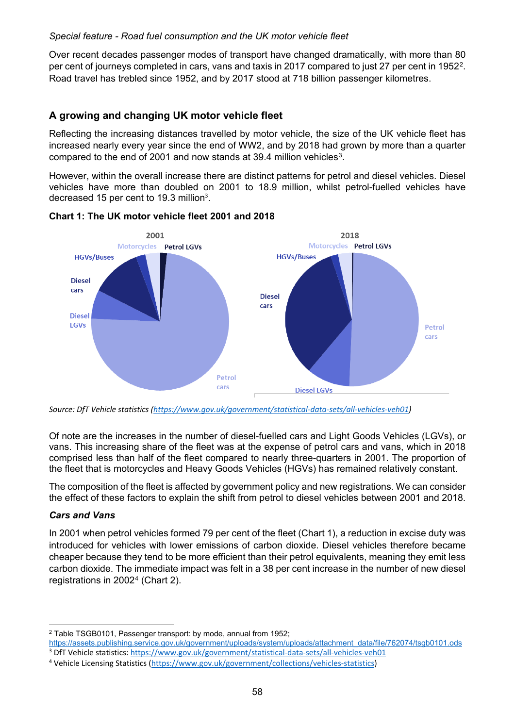Over recent decades passenger modes of transport have changed dramatically, with more than 80 per cent of journeys completed in cars, vans and taxis in 2017 compared to just 27 per cent in 1952<sup>2</sup>. Road travel has trebled since 1952, and by 2017 stood at 718 billion passenger kilometres.

# **A growing and changing UK motor vehicle fleet**

Reflecting the increasing distances travelled by motor vehicle, the size of the UK vehicle fleet has increased nearly every year since the end of WW2, and by 2018 had grown by more than a quarter compared to the end of 2001 and now stands at 39.4 million vehicles<sup>3</sup>.

However, within the overall increase there are distinct patterns for petrol and diesel vehicles. Diesel vehicles have more than doubled on 2001 to 18.9 million, whilst petrol-fuelled vehicles have decreased 15 per cent to 19[.](#page-1-0)3 million<sup>3</sup>.

<span id="page-1-0"></span>

#### **Chart 1: The UK motor vehicle fleet 2001 and 2018**

*Source: DfT Vehicle statistics [\(https://www.gov.uk/government/statistical-data-sets/all-vehicles-veh01\)](https://www.gov.uk/government/statistical-data-sets/all-vehicles-veh01)*

Of note are the increases in the number of diesel-fuelled cars and Light Goods Vehicles (LGVs), or vans. This increasing share of the fleet was at the expense of petrol cars and vans, which in 2018 comprised less than half of the fleet compared to nearly three-quarters in 2001. The proportion of the fleet that is motorcycles and Heavy Goods Vehicles (HGVs) has remained relatively constant.

The composition of the fleet is affected by government policy and new registrations. We can consider the effect of these factors to explain the shift from petrol to diesel vehicles between 2001 and 2018.

#### *Cars and Vans*

In 2001 when petrol vehicles formed 79 per cent of the fleet (Chart 1), a reduction in excise duty was introduced for vehicles with lower emissions of carbon dioxide. Diesel vehicles therefore became cheaper because they tend to be more efficient than their petrol equivalents, meaning they emit less carbon dioxide. The immediate impact was felt in a 38 per cent increase in the number of new diesel registrations in 2002[4](#page-1-3) (Chart 2).

<span id="page-1-1"></span> $\overline{\phantom{a}}$ <sup>2</sup> Table TSGB0101, Passenger transport: by mode, annual from 1952;

[https://assets.publishing.service.gov.uk/government/uploads/system/uploads/attachment\\_data/file/762074/tsgb0101.ods](https://assets.publishing.service.gov.uk/government/uploads/system/uploads/attachment_data/file/762074/tsgb0101.ods) <sup>3</sup> DfT Vehicle statistics:<https://www.gov.uk/government/statistical-data-sets/all-vehicles-veh01>

<span id="page-1-3"></span><span id="page-1-2"></span><sup>4</sup> Vehicle Licensing Statistics [\(https://www.gov.uk/government/collections/vehicles-statistics\)](https://www.gov.uk/government/collections/vehicles-statistics)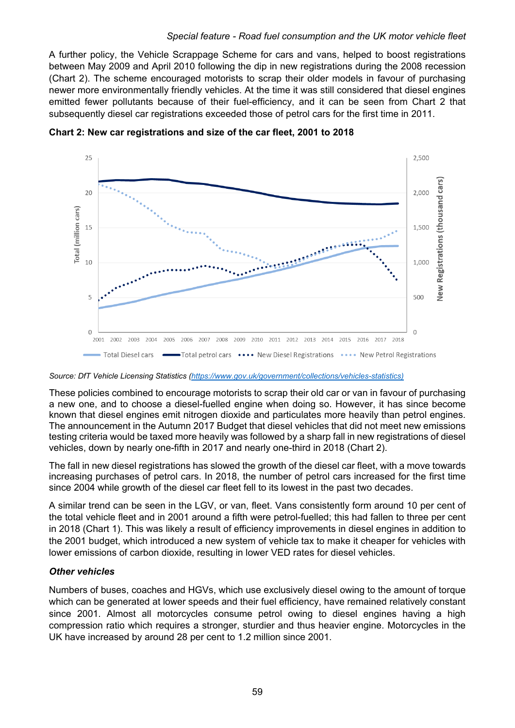A further policy, the Vehicle Scrappage Scheme for cars and vans, helped to boost registrations between May 2009 and April 2010 following the dip in new registrations during the 2008 recession (Chart 2). The scheme encouraged motorists to scrap their older models in favour of purchasing newer more environmentally friendly vehicles. At the time it was still considered that diesel engines emitted fewer pollutants because of their fuel-efficiency, and it can be seen from Chart 2 that subsequently diesel car registrations exceeded those of petrol cars for the first time in 2011.



**Chart 2: New car registrations and size of the car fleet, 2001 to 2018**

*Source: DfT Vehicle Licensing Statistics [\(https://www.gov.uk/government/collections/vehicles-statistics\)](https://www.gov.uk/government/collections/vehicles-statistics)*

These policies combined to encourage motorists to scrap their old car or van in favour of purchasing a new one, and to choose a diesel-fuelled engine when doing so. However, it has since become known that diesel engines emit nitrogen dioxide and particulates more heavily than petrol engines. The announcement in the Autumn 2017 Budget that diesel vehicles that did not meet new emissions testing criteria would be taxed more heavily was followed by a sharp fall in new registrations of diesel vehicles, down by nearly one-fifth in 2017 and nearly one-third in 2018 (Chart 2).

The fall in new diesel registrations has slowed the growth of the diesel car fleet, with a move towards increasing purchases of petrol cars. In 2018, the number of petrol cars increased for the first time since 2004 while growth of the diesel car fleet fell to its lowest in the past two decades.

A similar trend can be seen in the LGV, or van, fleet. Vans consistently form around 10 per cent of the total vehicle fleet and in 2001 around a fifth were petrol-fuelled; this had fallen to three per cent in 2018 (Chart 1). This was likely a result of efficiency improvements in diesel engines in addition to the 2001 budget, which introduced a new system of vehicle tax to make it cheaper for vehicles with lower emissions of carbon dioxide, resulting in lower VED rates for diesel vehicles.

#### *Other vehicles*

Numbers of buses, coaches and HGVs, which use exclusively diesel owing to the amount of torque which can be generated at lower speeds and their fuel efficiency, have remained relatively constant since 2001. Almost all motorcycles consume petrol owing to diesel engines having a high compression ratio which requires a stronger, sturdier and thus heavier engine. Motorcycles in the UK have increased by around 28 per cent to 1.2 million since 2001.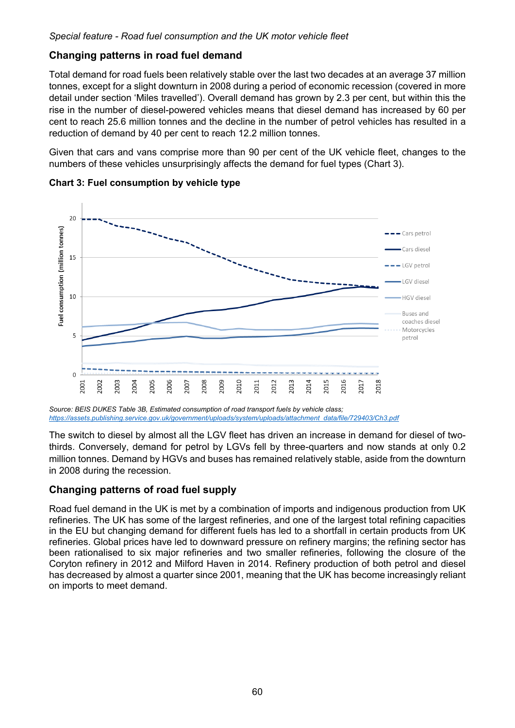# **Changing patterns in road fuel demand**

Total demand for road fuels been relatively stable over the last two decades at an average 37 million tonnes, except for a slight downturn in 2008 during a period of economic recession (covered in more detail under section 'Miles travelled'). Overall demand has grown by 2.3 per cent, but within this the rise in the number of diesel-powered vehicles means that diesel demand has increased by 60 per cent to reach 25.6 million tonnes and the decline in the number of petrol vehicles has resulted in a reduction of demand by 40 per cent to reach 12.2 million tonnes.

Given that cars and vans comprise more than 90 per cent of the UK vehicle fleet, changes to the numbers of these vehicles unsurprisingly affects the demand for fuel types (Chart 3).



**Chart 3: Fuel consumption by vehicle type**

*Source: BEIS DUKES Table 3B, Estimated consumption of road transport fuels by vehicle class; [https://assets.publishing.service.gov.uk/government/uploads/system/uploads/attachment\\_data/file/729403/Ch3.pdf](https://assets.publishing.service.gov.uk/government/uploads/system/uploads/attachment_data/file/729403/Ch3.pdf)*

The switch to diesel by almost all the LGV fleet has driven an increase in demand for diesel of twothirds. Conversely, demand for petrol by LGVs fell by three-quarters and now stands at only 0.2 million tonnes. Demand by HGVs and buses has remained relatively stable, aside from the downturn in 2008 during the recession.

# **Changing patterns of road fuel supply**

Road fuel demand in the UK is met by a combination of imports and indigenous production from UK refineries. The UK has some of the largest refineries, and one of the largest total refining capacities in the EU but changing demand for different fuels has led to a shortfall in certain products from UK refineries. Global prices have led to downward pressure on refinery margins; the refining sector has been rationalised to six major refineries and two smaller refineries, following the closure of the Coryton refinery in 2012 and Milford Haven in 2014. Refinery production of both petrol and diesel has decreased by almost a quarter since 2001, meaning that the UK has become increasingly reliant on imports to meet demand.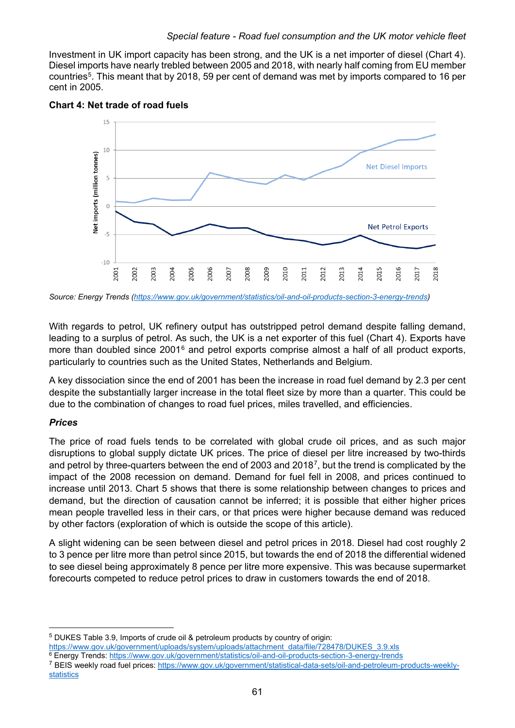Investment in UK import capacity has been strong, and the UK is a net importer of diesel (Chart 4). Diesel imports have nearly trebled between 2005 and 2018, with nearly half coming from EU member countries[5.](#page-4-0) This meant that by 2018, 59 per cent of demand was met by imports compared to 16 per cent in 2005.



**Chart 4: Net trade of road fuels**

*Source: Energy Trends [\(https://www.gov.uk/government/statistics/oil-and-oil-products-section-3-energy-trends\)](https://www.gov.uk/government/statistics/oil-and-oil-products-section-3-energy-trends)*

With regards to petrol, UK refinery output has outstripped petrol demand despite falling demand, leading to a surplus of petrol. As such, the UK is a net exporter of this fuel (Chart 4). Exports have more than doubled since 2001<sup>[6](#page-4-1)</sup> and petrol exports comprise almost a half of all product exports, particularly to countries such as the United States, Netherlands and Belgium.

A key dissociation since the end of 2001 has been the increase in road fuel demand by 2.3 per cent despite the substantially larger increase in the total fleet size by more than a quarter. This could be due to the combination of changes to road fuel prices, miles travelled, and efficiencies.

#### *Prices*

 $\overline{\phantom{a}}$ 

The price of road fuels tends to be correlated with global crude oil prices, and as such major disruptions to global supply dictate UK prices. The price of diesel per litre increased by two-thirds and petrol by three-quarters between the end of 2003 and 2018[7](#page-4-2), but the trend is complicated by the impact of the 2008 recession on demand. Demand for fuel fell in 2008, and prices continued to increase until 2013. Chart 5 shows that there is some relationship between changes to prices and demand, but the direction of causation cannot be inferred; it is possible that either higher prices mean people travelled less in their cars, or that prices were higher because demand was reduced by other factors (exploration of which is outside the scope of this article).

A slight widening can be seen between diesel and petrol prices in 2018. Diesel had cost roughly 2 to 3 pence per litre more than petrol since 2015, but towards the end of 2018 the differential widened to see diesel being approximately 8 pence per litre more expensive. This was because supermarket forecourts competed to reduce petrol prices to draw in customers towards the end of 2018.

<span id="page-4-1"></span><span id="page-4-0"></span>[https://www.gov.uk/government/uploads/system/uploads/attachment\\_data/file/728478/DUKES\\_3.9.xls](https://www.gov.uk/government/uploads/system/uploads/attachment_data/file/728478/DUKES_3.9.xls)

<sup>5</sup> DUKES Table 3.9, Imports of crude oil & petroleum products by country of origin:

<sup>6</sup> Energy Trends[: https://www.gov.uk/government/statistics/oil-and-oil-products-section-3-energy-trends](https://www.gov.uk/government/statistics/oil-and-oil-products-section-3-energy-trends)

<span id="page-4-2"></span><sup>7</sup> BEIS weekly road fuel prices[: https://www.gov.uk/government/statistical-data-sets/oil-and-petroleum-products-weekly](https://www.gov.uk/government/statistical-data-sets/oil-and-petroleum-products-weekly-statistics)[statistics](https://www.gov.uk/government/statistical-data-sets/oil-and-petroleum-products-weekly-statistics)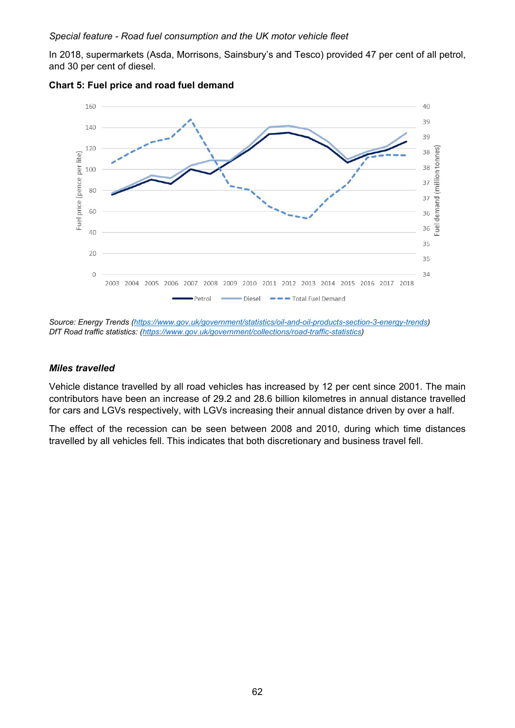In 2018, supermarkets (Asda, Morrisons, Sainsbury's and Tesco) provided 47 per cent of all petrol, and 30 per cent of diesel.



#### **Chart 5: Fuel price and road fuel demand**

*Source: Energy Trends [\(https://www.gov.uk/government/statistics/oil-and-oil-products-section-3-energy-trends\)](https://www.gov.uk/government/statistics/oil-and-oil-products-section-3-energy-trends) DfT Road traffic statistics: [\(https://www.gov.uk/government/collections/road-traffic-statistics\)](https://www.gov.uk/government/collections/road-traffic-statistics)*

#### *Miles travelled*

Vehicle distance travelled by all road vehicles has increased by 12 per cent since 2001. The main contributors have been an increase of 29.2 and 28.6 billion kilometres in annual distance travelled for cars and LGVs respectively, with LGVs increasing their annual distance driven by over a half.

The effect of the recession can be seen between 2008 and 2010, during which time distances travelled by all vehicles fell. This indicates that both discretionary and business travel fell.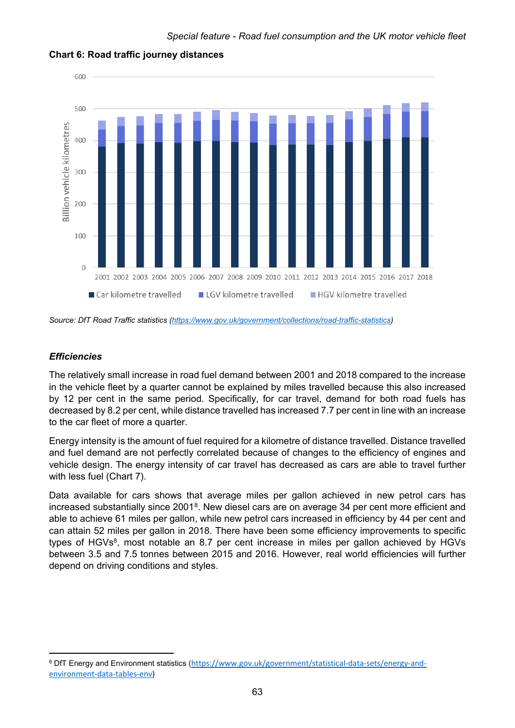

#### **Chart 6: Road traffic journey distances**

*Source: DfT Road Traffic statistics [\(https://www.gov.uk/government/collections/road-traffic-statistics\)](https://www.gov.uk/government/collections/road-traffic-statistics)*

### *Efficiencies*

 $\overline{\phantom{a}}$ 

The relatively small increase in road fuel demand between 2001 and 2018 compared to the increase in the vehicle fleet by a quarter cannot be explained by miles travelled because this also increased by 12 per cent in the same period. Specifically, for car travel, demand for both road fuels has decreased by 8.2 per cent, while distance travelled has increased 7.7 per cent in line with an increase to the car fleet of more a quarter.

Energy intensity is the amount of fuel required for a kilometre of distance travelled. Distance travelled and fuel demand are not perfectly correlated because of changes to the efficiency of engines and vehicle design. The energy intensity of car travel has decreased as cars are able to travel further with less fuel (Chart 7).

Data available for cars shows that average miles per gallon achieved in new petrol cars has increased substantially since 2001[8.](#page-6-0) New diesel cars are on average 34 per cent more efficient and able to achieve 61 miles per gallon, while new petrol cars increased in efficiency by 44 per cent and can attain 52 miles per gallon in 2018. There have been some efficiency improvements to specific types of HGVs<sup>8</sup>, most notable an 8.7 per cent increase in miles per gallon achieved by HGVs between 3.5 and 7.5 tonnes between 2015 and 2016. However, real world efficiencies will further depend on driving conditions and styles.

<span id="page-6-0"></span><sup>8</sup> DfT Energy and Environment statistics ([https://www.gov.uk/government/statistical-data-sets/energy-and](https://www.gov.uk/government/statistical-data-sets/energy-and-environment-data-tables-env)[environment-data-tables-env\)](https://www.gov.uk/government/statistical-data-sets/energy-and-environment-data-tables-env)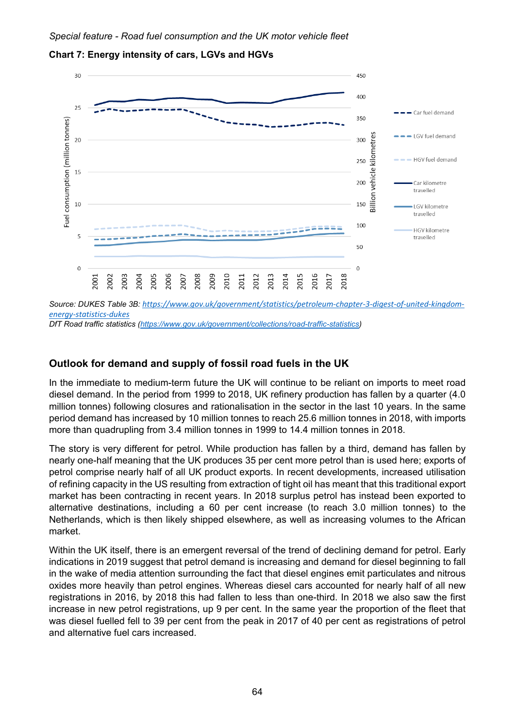

### **Chart 7: Energy intensity of cars, LGVs and HGVs**

*Source: DUKES Table 3B: [https://www.gov.uk/government/statistics/petroleum-chapter-3-digest-of-united-kingdom](https://www.gov.uk/government/statistics/petroleum-chapter-3-digest-of-united-kingdom-energy-statistics-dukes)[energy-statistics-dukes](https://www.gov.uk/government/statistics/petroleum-chapter-3-digest-of-united-kingdom-energy-statistics-dukes) DfT Road traffic statistics [\(https://www.gov.uk/government/collections/road-traffic-statistics\)](https://www.gov.uk/government/collections/road-traffic-statistics)*

# **Outlook for demand and supply of fossil road fuels in the UK**

In the immediate to medium-term future the UK will continue to be reliant on imports to meet road diesel demand. In the period from 1999 to 2018, UK refinery production has fallen by a quarter (4.0 million tonnes) following closures and rationalisation in the sector in the last 10 years. In the same period demand has increased by 10 million tonnes to reach 25.6 million tonnes in 2018, with imports more than quadrupling from 3.4 million tonnes in 1999 to 14.4 million tonnes in 2018.

The story is very different for petrol. While production has fallen by a third, demand has fallen by nearly one-half meaning that the UK produces 35 per cent more petrol than is used here; exports of petrol comprise nearly half of all UK product exports. In recent developments, increased utilisation of refining capacity in the US resulting from extraction of tight oil has meant that this traditional export market has been contracting in recent years. In 2018 surplus petrol has instead been exported to alternative destinations, including a 60 per cent increase (to reach 3.0 million tonnes) to the Netherlands, which is then likely shipped elsewhere, as well as increasing volumes to the African market.

Within the UK itself, there is an emergent reversal of the trend of declining demand for petrol. Early indications in 2019 suggest that petrol demand is increasing and demand for diesel beginning to fall in the wake of media attention surrounding the fact that diesel engines emit particulates and nitrous oxides more heavily than petrol engines. Whereas diesel cars accounted for nearly half of all new registrations in 2016, by 2018 this had fallen to less than one-third. In 2018 we also saw the first increase in new petrol registrations, up 9 per cent. In the same year the proportion of the fleet that was diesel fuelled fell to 39 per cent from the peak in 2017 of 40 per cent as registrations of petrol and alternative fuel cars increased.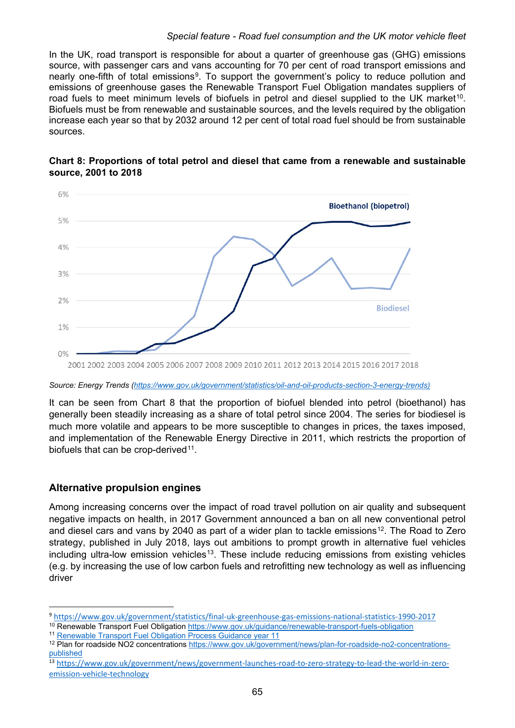In the UK, road transport is responsible for about a quarter of greenhouse gas (GHG) emissions source, with passenger cars and vans accounting for 70 per cent of road transport emissions and nearly one-fifth of total emissions<sup>9</sup>. To support the government's policy to reduce pollution and emissions of greenhouse gases the Renewable Transport Fuel Obligation mandates suppliers of road fuels to meet minimum levels of biofuels in petrol and diesel supplied to the UK market<sup>[10](#page-8-1)</sup>. Biofuels must be from renewable and sustainable sources, and the levels required by the obligation increase each year so that by 2032 around 12 per cent of total road fuel should be from sustainable sources.



### **Chart 8: Proportions of total petrol and diesel that came from a renewable and sustainable source, 2001 to 2018**

*Source: Energy Trends [\(https://www.gov.uk/government/statistics/oil-and-oil-products-section-3-energy-trends\)](https://www.gov.uk/government/statistics/oil-and-oil-products-section-3-energy-trends)*

It can be seen from Chart 8 that the proportion of biofuel blended into petrol (bioethanol) has generally been steadily increasing as a share of total petrol since 2004. The series for biodiesel is much more volatile and appears to be more susceptible to changes in prices, the taxes imposed, and implementation of the Renewable Energy Directive in 2011, which restricts the proportion of biofuels that can be crop-derived<sup>11</sup>.

### **Alternative propulsion engines**

Among increasing concerns over the impact of road travel pollution on air quality and subsequent negative impacts on health, in 2017 Government announced a ban on all new conventional petrol and diesel cars and vans by 2040 as part of a wider plan to tackle emissions<sup>[12](#page-8-3)</sup>. The Road to Zero strategy, published in July 2018, lays out ambitions to prompt growth in alternative fuel vehicles including ultra-low emission vehicles<sup>[13](#page-8-4)</sup>. These include reducing emissions from existing vehicles (e.g. by increasing the use of low carbon fuels and retrofitting new technology as well as influencing driver

<span id="page-8-0"></span> <sup>9</sup> <https://www.gov.uk/government/statistics/final-uk-greenhouse-gas-emissions-national-statistics-1990-2017>

<span id="page-8-2"></span><span id="page-8-1"></span><sup>&</sup>lt;sup>10</sup> Renewable Transport Fuel Obligation<https://www.gov.uk/guidance/renewable-transport-fuels-obligation>

<sup>11</sup> [Renewable Transport Fuel Obligation Process Guidance year 11](https://assets.publishing.service.gov.uk/government/uploads/system/uploads/attachment_data/file/694277/rtfo-guidance-part-1-process-guidance-year-11.pdf)

<span id="page-8-3"></span><sup>&</sup>lt;sup>12</sup> Plan for roadside NO2 concentrations [https://www.gov.uk/government/news/plan-for-roadside-no2-concentrations](https://www.gov.uk/government/news/plan-for-roadside-no2-concentrations-published)[published](https://www.gov.uk/government/news/plan-for-roadside-no2-concentrations-published)

<span id="page-8-4"></span><sup>13</sup> [https://www.gov.uk/government/news/government-launches-road-to-zero-strategy-to-lead-the-world-in-zero](https://www.gov.uk/government/news/government-launches-road-to-zero-strategy-to-lead-the-world-in-zero-emission-vehicle-technology)[emission-vehicle-technology](https://www.gov.uk/government/news/government-launches-road-to-zero-strategy-to-lead-the-world-in-zero-emission-vehicle-technology)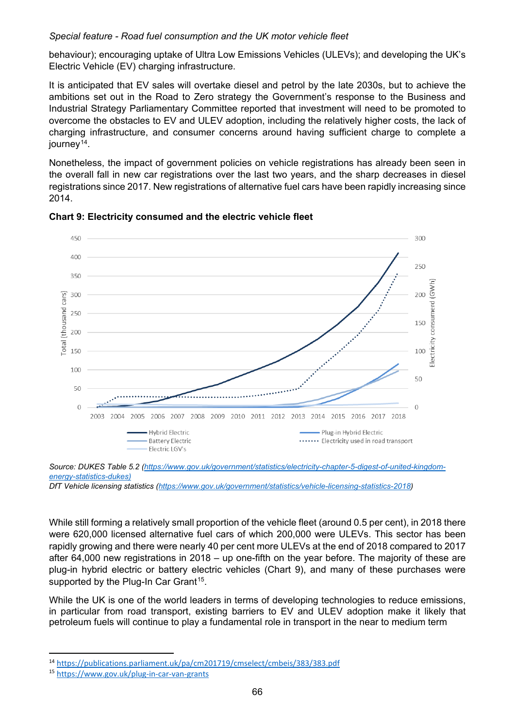behaviour); encouraging uptake of Ultra Low Emissions Vehicles (ULEVs); and developing the UK's Electric Vehicle (EV) charging infrastructure.

It is anticipated that EV sales will overtake diesel and petrol by the late 2030s, but to achieve the ambitions set out in the Road to Zero strategy the Government's response to the Business and Industrial Strategy Parliamentary Committee reported that investment will need to be promoted to overcome the obstacles to EV and ULEV adoption, including the relatively higher costs, the lack of charging infrastructure, and consumer concerns around having sufficient charge to complete a journey<sup>[14](#page-9-0)</sup>.

Nonetheless, the impact of government policies on vehicle registrations has already been seen in the overall fall in new car registrations over the last two years, and the sharp decreases in diesel registrations since 2017. New registrations of alternative fuel cars have been rapidly increasing since 2014.





While still forming a relatively small proportion of the vehicle fleet (around 0.5 per cent), in 2018 there were 620,000 licensed alternative fuel cars of which 200,000 were ULEVs. This sector has been rapidly growing and there were nearly 40 per cent more ULEVs at the end of 2018 compared to 2017 after 64,000 new registrations in 2018 – up one-fifth on the year before. The majority of these are plug-in hybrid electric or battery electric vehicles (Chart 9), and many of these purchases were supported by the Plug-In Car Grant<sup>[15](#page-9-1)</sup>.

While the UK is one of the world leaders in terms of developing technologies to reduce emissions, in particular from road transport, existing barriers to EV and ULEV adoption make it likely that petroleum fuels will continue to play a fundamental role in transport in the near to medium term

*Source: DUKES Table 5.2 [\(https://www.gov.uk/government/statistics/electricity-chapter-5-digest-of-united-kingdom](https://www.gov.uk/government/statistics/electricity-chapter-5-digest-of-united-kingdom-energy-statistics-dukes)[energy-statistics-dukes\)](https://www.gov.uk/government/statistics/electricity-chapter-5-digest-of-united-kingdom-energy-statistics-dukes)*

*DfT Vehicle licensing statistics [\(https://www.gov.uk/government/statistics/vehicle-licensing-statistics-2018\)](https://www.gov.uk/government/statistics/vehicle-licensing-statistics-2018)*

<span id="page-9-0"></span> <sup>14</sup> <https://publications.parliament.uk/pa/cm201719/cmselect/cmbeis/383/383.pdf>

<span id="page-9-1"></span><sup>15</sup> <https://www.gov.uk/plug-in-car-van-grants>